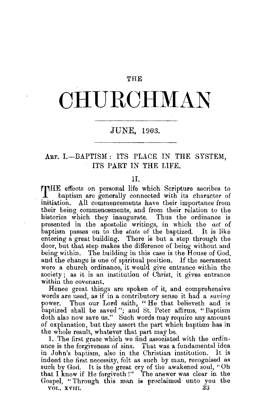### THE

# **CHURCHMAN**

## JUNE, 1903.

## ART. I.-BAPTISM: ITS PLACE IN THE SYSTEM. ITS PART IN THE LIFE.

### II.

THE effects on personal life which Scripture ascribes to baptism are generally connected with its character of initiation. All commencements have their importance from their being commencements, and from their relation to the histories which they inaugurate. Thus the ordinance is presented in the apostolic writings, in which the *act* of baptism passes on to the *state* of the baptized. It is like entering a great building. There is but a step through the door, but that step makes the difference of being without and being within. The building in this case is the House of God, and the change is one of spiritual position. If the sacrament were a church ordinance, it would give entrance within the society; as it is an institution of Christ, it gives entrance within the covenant.

Hence great things are spoken of it, and comprehensive words are used, as if in a contributory sense it had a *saving*  Thus our Lord saith, "He that believeth and is baptized shall be saved"; and St. Peter affirms, "Baptism doth also now save us." Such words may require any amount of explanation, but they assert the part which baptism has in the whole result, whatever that part may be.

1. The first grace which we find associated with the ordinance is the forgiveness of sins. That was a fundamental idea in John's baptism, also in the Christian institution. It is indeed the first necessity, felt as such by man, recognised as such by God. It is the great cry of the awakened soul, "Oh that I knew if He forgiveth !" The answer was clear in the Gospel, " Through this man is proclaimed unto you the VOL, XVIII.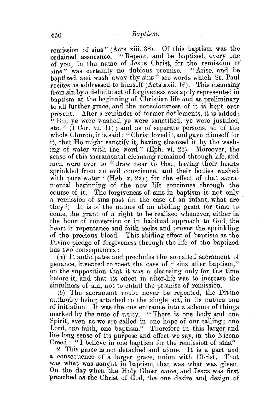remission of sins" (Acts xiii. 38). Of this baptism was the ordained assurance. " Repent, and be baptized, every one of you, in the name of Jesus Christ, for the remission of sins" was certainly no dubious promise. "Arise, and be baptized, and wash away thy sins" are words which St. Paul recites as addressed to himself (Acts xxii. 16). This cleansing from sin by a definite act of forgiveness was aptly represented in baptism at the beginning of Christian life and as preliminary to all further grace, and the consciousness of it is kept ever present. After a reminder of former defilements, it is added: '' But ye were washed, ye were sanctified, ye were justified, etc. " (1 Cor. vi. 11); and as of separate persons, so of the whole Church, it is said: "Christ loved it, and gave Himself for it, that He might sanctify it, having cleansed it by the washing of water with the word" (Eph. vi. 26). Moreover, the sense of this sacramental cleansing remained through life, and men were ever to "draw near to God, having their hearts sprinkled from an evil conscience, and their bodies washed with pure water" (Heb. x. 22); for the effect of that sacramental beginning of the new life continues through the course of it. The forgiveness of sins in baptism is not only n remission of sins past (in the case of an infant, what are they ?) It is of the nature of an abiding grant for time to come, the grant of a right to be realized whenever, either in the hom of conversion or in habitual approach to God, the heart in repentance and faith seeks and proves the sprinkling of the precious blood. This abicling effect of baptism as the Divine pledge of forgiveness through the life of the baptized has two consequences:

 $(a)$  It anticipates and precludes the so-called sacrament of penance, invented to meet the case of ''sins after baptism," on the supposition that it was a cleansing only for the time before it, and that its effect in after-life was to increase the sinfulness of sin, not to entail the promise of remission.

(b) The sacrament could never be repeated, the Divine authority being attached to the siugle act, in its nature one of initiation. It was the one entrance into a scheme of things marked by the note of unity. "There is one body and one "There is one body and one Spirit, even as we are called in one hope of our calling; one Lord, one faith, one baptism." Therefore in this larger and life-long sense of its purpose and effect we say, in the Nicene Creed : "I believe in one baptism for the remission of sins."

2. This grace is not detached and alone. It is a part and a consequence of a larger grace, union with Christ. That was what was sought in baptism, that was what was given. On the day when the Holy Ghost came, and Jesus was first preached as the Christ of God, the one desire and design of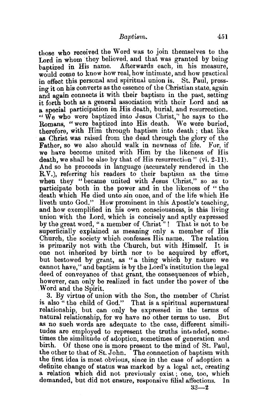those who received the Word was to join themselves to the Lord in whom they believed, and that was granted by being baptized in His name. Afterwards each, in his measure, would come to know how real, how intimate, and how practical in effect this personal and spiritual union is. St. Paul, pressing it on his converts as the essence of the Christian state, again and again connects it with their baptism in the past, setting it forth both as a general association with their Lord and as a special participation in His death, burial, and resurrection. "We who were baptized into Jesus Christ,'' he says to the Romans, " were baptized into His death. We were buried, therefore, with Him through baptism into death ; that like as Christ was raised from the dead through the glory of the Father, so we also should walk in newness of life. For, if we have become united with Him by the likeness of His death, we shall be also by that of His resurrection"  $(vi, 2-11)$ . And so he proceeds in language (accurately rendered in the R.V.), referring his readers to their baptism as the time when they "became united with Jesus Christ," so as to participate both in the power and in the likeness of " the death which He died unto sin once, and of the life which He liveth unto God." How prominent in this Apostle's teaching, and how exemplified in his own consciousness, is this living union with the Lord, which is concisely and aptly expressed by the great word, "a member of Christ" ! That is not to be superficially explained as meaning only a member of His Church, the society which confesses His name. The relation is primarily not with the Church, but with Himself. It is one not inherited by birth nor to be acquired by effort, but bestowed by grant, as "a thing which by nature we cannot have," and baptism is by the Lord's institution the legal deed of conveyance of that grant, the consequences of which, however, can only be realized in fact under the power of the Word and the Spirit.

3. By virtue of union with the Son, the member of Christ is also" the child of God." That is a spiritual supernatural relationship, but can only be expressed in the terms of natural relationship, for we have no other terms to use. Bnt as no such words are adequate to the case, different similitudes are employed to represent the truths intended, sometimes the similitude of adoption, sometimes of generation and birth. Of these one is more present to the mind of St. Paul. Of these one is more present to the mind of St. Paul, the other to that of St. John. The connection of baptism with the first idea is most obvious, since in the case of adoption a definite change of status was marked by a legal act, creating a relation which did not previously exist; one, too, which demanded, but did not ensure, responsive filial affections. In

 $33 - 2$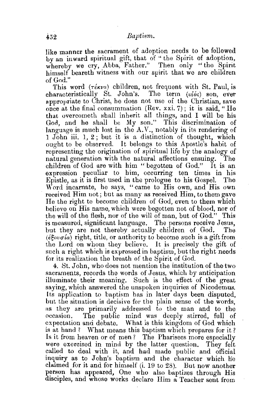like manner the sacrament of adoption needs to be followed by an inward spiritual gift, that of " the Spirit of adoption. whereby we cry, Abba, Father." Then only "the Spirit himself beareth witness with our spirit that we are children of God."

This word  $(\tau \notin \mathcal{X} \times \mathcal{Y})$  children, not frequent with St. Paul, is characteristically St. John's. The term  $(v_i' \circ s)$  son, ever appropriate to Christ, he does not use of the Christian, save once at the final consummation (Rev. xxi. 7); it is said, "He that overcometh shall inherit all things, and I will be his God, and he shall be My son." This discrimination of language is much lost in the A.V., notably in its rendering of 1 John iii. 1, 2; but it is a distinction of thought, which ought to be observed. It belongs to this Apostle's habit of representing the origination of spiritual life by the analogy of<br>natural generation with the natural affections ensuing. The natural generation with the natural affections ensuing. The children of God are with him "begotten of God." It is an children of God are with him " begotten of God." expression peculiar to him, occurring ten times in his Epistle, as it is first used in the prologue to his Gospel. The Word incarnate, he says, "came to His own, and His own received Him not; but as many as received Him, to them gave He the right to become children of God, even to them which believe on His name, which were begotten not of blood, nor of the will of the flesh, nor of the will of man, but of God." This is measured, significant language. The persons receive Jesus, but they are not thereby actually children of God. The  $(\epsilon \epsilon_{ov\sigma i\alpha})$  right, title, or authority to become such is a gift from the Lord on whom they believe. It is precisely the gift of such a right which is expressed in baptism, but the right needs for its realization the breath of the Spirit of God.

4. St.John, who does not mention the institution of the two sacraments, records the words of Jesus, which by anticipation illuminate their meaning. Such is the eftect of the great saying, which answered the unspoken inquiries of Nicodemus. Its application to baptism has in later days been disputed, but the situation is decisive for the plain sense of the words, as they are primarily addressed to the man and to the occasion. The public mind was deeply stirred, full of expectation and debate. What is this kingdom of God which is at hand ? What means this baptism which prepares for it? Is it from heaven or of men? The Pharisees more especially were exercised in mind by the latter question. They felt called to deal with it, and had made public and official inquiry as to John's baptism and the character which lie claimed for it and for himself (i. 19 to 28). But now another person has appeared, One who also baptizes through His disciples, and whose works declare Him a Teacher sent from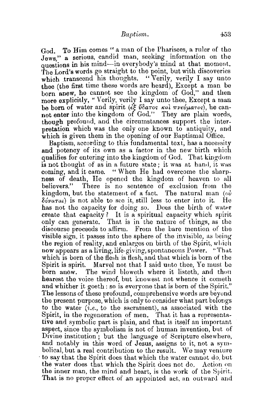God To Him comes " a man of the Pharisees, a ruler of the Jews." a serious, candid man, seeking information on the questions in his mind-in everybody's mind at that moment. The Lord's words go straight to the point, but with discoveries which transcend his thoughts. "Verily, verily I say unto thee (the first time these words are heard), Except a man be born anew, he cannot see the kingdom of  $God$ ," and then more explicitly, "Verily, verily I say unto thee, Except a man be born of water and spirit ( $\epsilon \xi$  ύδατος και πνεύματος), he cannot enter into the kingdom of God." They are plain words, though profound, and the circumstances support the interpretation which was the only one known to antiquity, and which is given them in the opening of our Baptismal Office.

Baptism, according to this fundamental text, has a necessity and potency of its own as a factor in the new birth which qualifies for entering into the kingdom of God. That kingdom is not thought of as in a future state; it was at hand, it was coming, and it came. " When He had overcome the sharpness of death, He opened the kingdom of heaven to all There is no sentence of exclusion from the kingdom, but the statement of a fact. The natural man  $(\omega)$  $\delta \acute{\nu} \nu \acute{a} \tau a \iota$  is not able to see it, still less to enter into it. He has not the capacity for doing so. Does the birth of water create that capacity? It is a spiritual capacity which spirit only can generate. That is in the nature of things, as the discourse proceeds to affirm. From the bare mention of the visible sign. it passes into the sphere of the invisible, as being the region of reality, and enlarges on birth of the Spirit, which now appears as a living, life-giving, spontaneous Power. "That which is born of the flesh is flesh, and that which is born of the Spirit is spirit. Marvel not that I said unto thee, Ye must be born anew. The wind bloweth where it listeth, and thon hearest the voice thereof, but knowest not whence it cometh and whither it goeth: so is everyone that is born of the Spirit." The lessons of these profound, comprehensive words are beyond the present purpose, which is only to consider what part belongs to the water *(i.e.,* to the sacrament), as associated with the Spirit, in the regeneration of men. That it has a representative and symbolic part is plain, and that is itself an important aspect, since the symbolism is not of human invention, but of Divine institution; but the language of Scripture elsewhere, and notably in this word of Jesus, assigns to it, not a symbolical, but a real contribution to the result. We may venture to say that the Spirit does that which the water cannot do, but the water does that which the Spirit does not do. Action on the inner man, the mind and heart, is the work of the Spirit. That is no proper effect of an appointed act., an outward and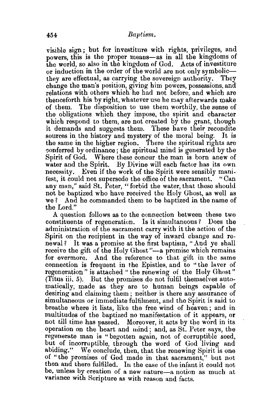visible sign ; but for investiture with rights, privileges, and powers, this is the proper means-as in all the kingdoms of the world, so also in the kingdom of God. Acts of investiture or induction in the order of the world are not only symbolicthey are effectual, as carrying the sovereign authority. They change the man's position, giving him powers, possessions, and relations with others which he had not before, and which are thenceforth his by right, whatever use he may afterwards make of them. The disposition to use them worthily, the sense of the obligations which they impose, the spirit and character which respond to them, are not created by the grant, though it demands and suggests them. These have their recondite sources in the history and mystery of the moral being. It is the same in the higher region. There the spiritual rights are conferred by ordinance; the spiritual mind is generated by the Spirit of God. Where these concur the man is born anew of water and the Spirit. By Divine will each factor has its own necessity. Even if the work of the Spirit were sensibly manifest, it could not supersede the office of the sacrament. "Can any man," said St. Peter, "forbid the water, that these should not be baptized who have received the Holy Ghost, as well as we ? And he commanded them to be baptized in the name of the Lord."

A question follows as to the connection between these two constituents of regeneration. Is it simultaneous? Does the administration of the sacrament carry with it the action of the Spirit on the recipient in the way of inward change and renewal? It was a promise at the first baptism, "And ye shall receive the gift of the Holy Ghost "-a promise which remains for evermore. And the reference to that gift in the same connection is frequent in the Epistles, and to "the laver of regeneration" is attached " the renewing of the Holy Ghost" (Titus iii. 5). But the promises do not fulfil themselves automatically, made as they are to human beings capable of desiring and claiming them; neither is there any assurance of simultaneous or immediate fulfilment, and the Spirit is said to breathe where it lists, like the free wind of heaven; and in multitudes of the baptized no manifestation of it appears, or not till time has passed. Moreover, it acts by the word in its operation on the heart and mind; and, as St. Peter says, the regenerate man is " begotten again, not of corruptible seed, but of incorruptible, through the word of God living and abiding." We conclude, then, that the renewing Spirit is one of "the promises of God made in that sacrament," but not then and there fulfilled. In the case of the infant it could not he, unless by creation of a new nature-a notion as much at variance with Scripture as with reason and facts.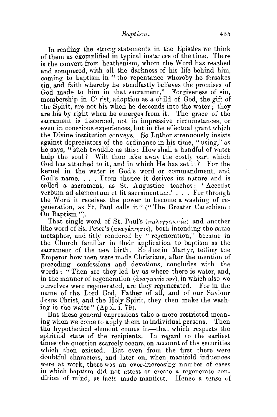In reading the strong statements in the Epistles we think of them as exemplified in typical instances of the time. There is the convert from heathenism, whom the Word has reached and conquered, with all the darkness of his life behind him, coming to baptism in " the repentance whereby he forsakes sin, and faith whereby he steadfastly believes the promises of God made to him in that sacrament." Forgiveness of sin, membership in Christ, adoption as a child of God, the gift of the Spirit, are not his when he descends into the water; they are his by right when he emerges from it. The grace of the sacrament is discerned, not in impressive circumstances, or even in conscious experiences, but in the effectual grant which the Divine institution conveys. So Luther strenuously insists against depreciators of the ordinance in his time, "using," as he says, "such twaddle as this: How shall a handful of water help the soul? Wilt thou take away the costly part which God has attached to it, and in which He has set it? For the kernel in the water is God's word or commandment, and God's name.... From thence it derives its nature and is called a sacrament, as St. Augustine teaches: ' Accedat verbum ad elementum et fit sacramentum.'... For through the Word it receives the power to become a washing of regeneration, as St. Paul calls it" ("The Greater Catechism : On Baptism ").

That single word of St. Paul's  $(\pi a\lambda \gamma \gamma \epsilon \nu \epsilon \sigma a)$  and another like word of St. Peter's  $(a\nu a\nu e\nu \nu \eta \sigma \nu s)$ , both intending the same metaphor, and fitly rendered by "regeneration," became in the Church familiar in their application to baptism as the sacrament of the new birth. So Justin Martyr, telling the Emperor how men were made Christians, after the mention of preceding confessions and devotions, concludes with the words : "Then are they led by us where there is water, and, in the manner of regeneration *(dvayevrness*), in which also we ourselves were regenerated, are they regenerated. For in the name of the Lord God, Father of all, and of our Saviour Jesus Christ, and the Holy Spirit, they then make the washing in the water" (Apol. i. 79).

But these general expressions take a more restricted meaning when we come to apply them to individual persons. Then the hypothetical element comes in-that which respects the spiritual state of the recipients. In regard to the earliest times the question scarcely occurs, on account of the securities which then existed. But even from the first there were doubtful characters, and later on, when manifold influences were at work, there was an ever-increasing number of cases in which baptism did not attest or create a regenerate condition of mind, as facts made manifest. Hence a sense of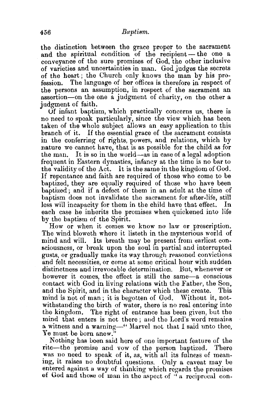the distinction between the grace proper to the sacrament and the spiritual condition of the recipient- the one a conveyance of the sure promises of God, the other inclusive of varieties and uncertainties in man. God judges the secrets of the heart; the Church only knows the man by his pro-<br>fession. The language of her offices is therefore in respect of The language of her offices is therefore in respect of the persons an assumption, in respect of the sacrament an assertion-on the one a judgment of charity, on the other a iudgment of faith.

Uf infant baptism, which practically concerns us, there is no need to speak particularly, since the view which has been taken of the whole subject allows an easy application to this branch of it. If the essential grace of the sacrament consists in the conferring of rights, powers, and relations, which by nature we cannot have, that is as possible for the child as for the man. It is so in the world-as in case of a legal adoption frequent in Eastern dynasties, infancy at the time is no bar to the validity of the Act. It is the same in the kingdom of God. If repentance and faith are required of those who come to be baptized, they are equally required of those who have been baptized; and if a defect of them in an adult at the time of baptism does not invalidate the sacrament for after-life, still less will incapacity for them in the child have that effect. In each case he inherits the promises when quickened into life by the baptism of the Spirit.

How or when it comes we know no law or prescription. The wind bloweth where it listeth in the mysterious world of mind and wilL Its breath may be present from earliest consciousness, or break upon the soul in partial and interrupted gusts, or gradually make its way through reasoned convictions and felt necessities, or come at some critical hour with sudden distinctness and irrevocable determination. But, whenever or however it comes, the effect is still the same—a conscious contact with God in living relations with the Father, the Son, and the Spirit, and in the character which these create. This mind is not of man; it is begotten of God. Without it, notwithstanding the birth of water, there is no real entering into the kingdom. The right of entrance has been given, but the mind that enters is not there; and the Lord's word remains a witness and a warning—" Marvel not that I said unto thee, Ye must be born anew.

Nothing has been said here of one important feature of the rite-the promise and vow of the person baptized. There was no need to speak of it, as, with all its fulness of meaning, it raises no doubtful questions. Only a caveat may be entered against a way of thinking which regards the promises of God and those of man in the aspect of  $\mathcal{F}$  a reciprocal con